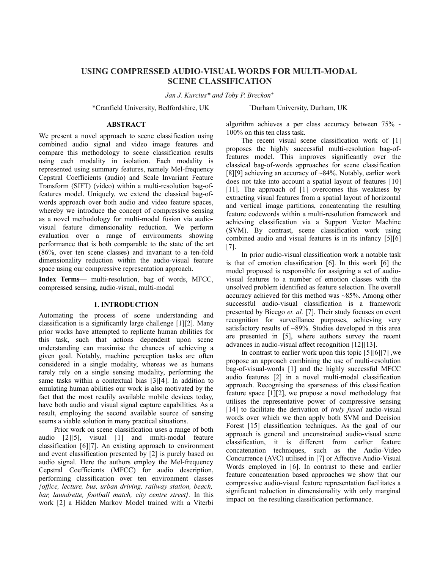# **USING COMPRESSED AUDIO-VISUAL WORDS FOR MULTI-MODAL SCENE CLASSIFICATION**

*Jan J. Kurcius\* and Toby P. Breckon<sup>+</sup>*

\*Cranfield University, Bedfordshire, UK <sup>+</sup>Durham University, Durham, UK

### **ABSTRACT**

We present a novel approach to scene classification using combined audio signal and video image features and compare this methodology to scene classification results using each modality in isolation. Each modality is represented using summary features, namely Mel-frequency Cepstral Coefficients (audio) and Scale Invariant Feature Transform (SIFT) (video) within a multi-resolution bag-offeatures model. Uniquely, we extend the classical bag-ofwords approach over both audio and video feature spaces, whereby we introduce the concept of compressive sensing as a novel methodology for multi-modal fusion via audiovisual feature dimensionality reduction. We perform evaluation over a range of environments showing performance that is both comparable to the state of the art (86%, over ten scene classes) and invariant to a ten-fold dimensionality reduction within the audio-visual feature space using our compressive representation approach.

**Index Terms—** multi-resolution, bag of words, MFCC, compressed sensing, audio-visual, multi-modal

#### **1. INTRODUCTION**

Automating the process of scene understanding and classification is a significantly large challenge [1][2]. Many prior works have attempted to replicate human abilities for this task, such that actions dependent upon scene understanding can maximise the chances of achieving a given goal. Notably, machine perception tasks are often considered in a single modality, whereas we as humans rarely rely on a single sensing modality, performing the same tasks within a contextual bias [3][4]. In addition to emulating human abilities our work is also motivated by the fact that the most readily available mobile devices today, have both audio and visual signal capture capabilities. As a result, employing the second available source of sensing seems a viable solution in many practical situations.

Prior work on scene classification uses a range of both audio [2][5], visual [1] and multi-modal feature classification [6][7]. An existing approach to environment and event classification presented by [2] is purely based on audio signal. Here the authors employ the Mel-frequency Cepstral Coefficients (MFCC) for audio description, performing classification over ten environment classes *{office, lecture, bus, urban driving, railway station, beach, bar, laundrette, football match, city centre street}.* In this work [2] a Hidden Markov Model trained with a Viterbi

algorithm achieves a per class accuracy between 75% - 100% on this ten class task.

The recent visual scene classification work of [1] proposes the highly successful multi-resolution bag-offeatures model. This improves significantly over the classical bag-of-words approaches for scene classification [8][9] achieving an accuracy of ~84%. Notably, earlier work does not take into account a spatial layout of features [10] [11]. The approach of [1] overcomes this weakness by extracting visual features from a spatial layout of horizontal and vertical image partitions, concatenating the resulting feature codewords within a multi-resolution framework and achieving classification via a Support Vector Machine (SVM). By contrast, scene classification work using combined audio and visual features is in its infancy [5][6] [7].

In prior audio-visual classification work a notable task is that of emotion classification [6]. In this work [6] the model proposed is responsible for assigning a set of audiovisual features to a number of emotion classes with the unsolved problem identified as feature selection. The overall accuracy achieved for this method was ~85%. Among other successful audio-visual classification is a framework presented by Bicego *et. al.* [7]. Their study focuses on event recognition for surveillance purposes, achieving very satisfactory results of ~89%. Studies developed in this area are presented in [5], where authors survey the recent advances in audio-visual affect recognition [12][13].

In contrast to earlier work upon this topic  $[5][6][7]$ , we propose an approach combining the use of multi-resolution bag-of-visual-words [1] and the highly successful MFCC audio features [2] in a novel multi-modal classification approach. Recognising the sparseness of this classification feature space [1][2], we propose a novel methodology that utilises the representative power of compressive sensing [14] to facilitate the derivation of *truly fused* audio-visual words over which we then apply both SVM and Decision Forest [15] classification techniques. As the goal of our approach is general and unconstrained audio-visual scene classification, it is different from earlier feature concatenation techniques, such as the Audio-Video Concurrence (AVC) utilised in [7] or Affective Audio-Visual Words employed in [6]. In contrast to these and earlier feature concatenation based approaches we show that our compressive audio-visual feature representation facilitates a significant reduction in dimensionality with only marginal impact on the resulting classification performance.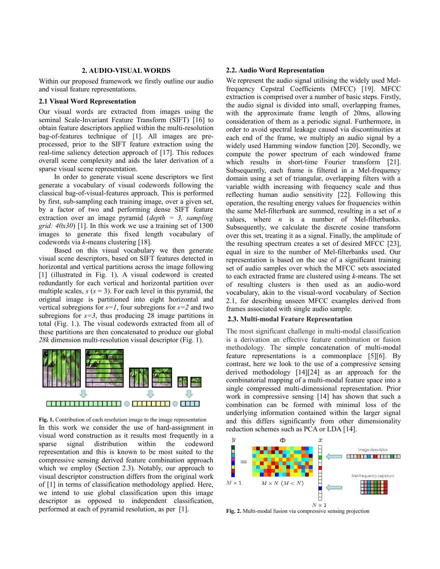# **2. AUDIO-VISUAL WORDS**

Within our proposed framework we firstly outline our audio and visual feature representations.

### **2.1 Visual Word Representation**

Our visual words are extracted from images using the seminal Scale-Invariant Feature Transform (SIFT) [16] to obtain feature descriptors applied within the multi-resolution bag-of-features technique of [1]. All images are preprocessed, prior to the SIFT feature extraction using the real-time saliency detection approach of [17]. This reduces overall scene complexity and aids the later derivation of a sparse visual scene representation.

In order to generate visual scene descriptors we first generate a vocabulary of visual codewords following the classical bag-of-visual-features approach. This is performed by first, sub-sampling each training image, over a given set, by a factor of two and performing dense SIFT feature extraction over an image pyramid (*depth = 3, sampling grid: 40x30*) [1]. In this work we use a training set of 1300 images to generate this fixed length vocabulary of codewords via *k*-means clustering [18].

Based on this visual vocabulary we then generate visual scene descriptors, based on SIFT features detected in horizontal and vertical partitions across the image following [1] (illustrated in Fig. 1). A visual codeword is created redundantly for each vertical and horizontal partition over multiple scales,  $s$  ( $s = 3$ ). For each level in this pyramid, the original image is partitioned into eight horizontal and vertical subregions for *s=1*, four subregions for *s=2* and two subregions for  $s=3$ , thus producing 28 image partitions in total (Fig. 1.). The visual codewords extracted from all of these partitions are then concatenated to produce our global *28k* dimension multi-resolution visual descriptor (Fig. 1).



Fig. 1. Contribution of each resolution image to the image representation In this work we consider the use of hard-assignment in visual word construction as it results most frequently in a sparse signal distribution within the codeword representation and this is known to be most suited to the compressive sensing derived feature combination approach which we employ (Section 2.3). Notably, our approach to visual descriptor construction differs from the original work of [1] in terms of classification methodology applied. Here, we intend to use global classification upon this image descriptor as opposed to independent classification, performed at each of pyramid resolution, as per [1].

### **2.2. Audio Word Representation**

We represent the audio signal utilising the widely used Melfrequency Cepstral Coefficients (MFCC) [19]. MFCC extraction is comprised over a number of basic steps. Firstly, the audio signal is divided into small, overlapping frames, with the approximate frame length of 20ms, allowing consideration of them as a periodic signal. Furthermore, in order to avoid spectral leakage caused via discontinuities at each end of the frame, we multiply an audio signal by a widely used Hamming window function [20]. Secondly, we compute the power spectrum of each windowed frame which results in short-time Fourier transform [21]. Subsequently, each frame is filtered in a Mel-frequency domain using a set of triangular, overlapping filters with a variable width increasing with frequency scale and thus reflecting human audio sensitivity [22]. Following this operation, the resulting energy values for frequencies within the same Mel-filterbank are summed, resulting in a set of *n* values, where *n* is a number of Mel-filterbanks. Subsequently, we calculate the discrete cosine transform over this set, treating it as a signal. Finally, the amplitude of the resulting spectrum creates a set of desired MFCC [23], equal in size to the number of Mel-filterbanks used. Our representation is based on the use of a significant training set of audio samples over which the MFCC sets associated to each extracted frame are clustered using *k*-means. The set of resulting clusters is then used as an audio-word vocabulary, akin to the visual-word vocabulary of Section 2.1, for describing unseen MFCC examples derived from frames associated with single audio sample.

# **2.3. Multi-modal Feature Representation**

The most significant challenge in multi-modal classification is a derivation an effective feature combination or fusion methodology. The simple concatenation of multi-modal feature representations is a commonplace [5][6]. By contrast, here we look to the use of a compressive sensing derived methodology [14][24] as an approach for the combinatorial mapping of a multi-modal feature space into a single compressed multi-dimensional representation. Prior work in compressive sensing [14] has shown that such a combination can be formed with minimal loss of the underlying information contained within the larger signal and this differs significantly from other dimensionality reduction schemes such as PCA or LDA [14].



**Fig. 2.** Multi-modal fusion via compressive sensing projection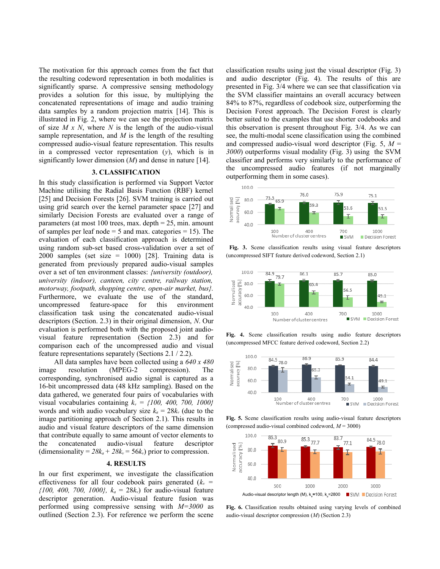The motivation for this approach comes from the fact that the resulting codeword representation in both modalities is significantly sparse. A compressive sensing methodology provides a solution for this issue, by multiplying the concatenated representations of image and audio training data samples by a random projection matrix [14]. This is illustrated in Fig. 2, where we can see the projection matrix of size *M x N*, where *N* is the length of the audio-visual sample representation, and *M* is the length of the resulting compressed audio-visual feature representation. This results in a compressed vector representation (*y*), which is in significantly lower dimension (*M*) and dense in nature [14].

### **3. CLASSIFICATION**

In this study classification is performed via Support Vector Machine utilising the Radial Basis Function (RBF) kernel [25] and Decision Forests [26]. SVM training is carried out using grid search over the kernel parameter space [27] and similarly Decision Forests are evaluated over a range of parameters (at most 100 trees, max. depth  $= 25$ , min. amount of samples per leaf node  $=$  5 and max. categories  $=$  15). The evaluation of each classification approach is determined using random sub-set based cross-validation over a set of  $2000$  samples (set size = 1000) [28]. Training data is generated from previously prepared audio-visual samples over a set of ten environment classes: *{university (outdoor), university (indoor), canteen, city centre, railway station, motorway, footpath, shopping centre, open-air market, bus}.* Furthermore, we evaluate the use of the standard, uncompressed feature-space for this environment classification task using the concatenated audio-visual descriptors (Section. 2.3) in their original dimension, *N*. Our evaluation is performed both with the proposed joint audiovisual feature representation (Section 2.3) and for comparison each of the uncompressed audio and visual feature representations separately (Sections 2.1 / 2.2).

All data samples have been collected using a *640 x 480* image resolution (MPEG-2 compression). The corresponding, synchronised audio signal is captured as a 16-bit uncompressed data (48 kHz sampling). Based on the data gathered, we generated four pairs of vocabularies with visual vocabularies containing *kv = {100, 400, 700, 1000}* words and with audio vocabulary size  $k_a = 28k_v$  (due to the image partitioning approach of Section 2.1). This results in audio and visual feature descriptors of the same dimension that contribute equally to same amount of vector elements to the concatenated audio-visual feature descriptor (dimensionality =  $28k_a + 28k_v = 56k_v$ ) prior to compression.

#### **4. RESULTS**

In our first experiment, we investigate the classification effectiveness for all four codebook pairs generated (*k<sup>v</sup> = {100, 400, 700, 1000}, ka* = 28*kv*) for audio-visual feature descriptor generation. Audio-visual feature fusion was performed using compressive sensing with *M=3000* as outlined (Section 2.3). For reference we perform the scene classification results using just the visual descriptor (Fig. 3) and audio descriptor (Fig. 4). The results of this are presented in Fig. 3/4 where we can see that classification via the SVM classifier maintains an overall accuracy between 84% to 87%, regardless of codebook size, outperforming the Decision Forest approach. The Decision Forest is clearly better suited to the examples that use shorter codebooks and this observation is present throughout Fig. 3/4. As we can see, the multi-modal scene classification using the combined and compressed audio-visual word descriptor (Fig. 5, *M* = *3000*) outperforms visual modality (Fig. 3) using the SVM classifier and performs very similarly to the performance of the uncompressed audio features (if not marginally outperforming them in some cases).



**Fig. 3.** Scene classification results using visual feature descriptors (uncompressed SIFT feature derived codeword, Section 2.1)



**Fig. 4.** Scene classification results using audio feature descriptors (uncompressed MFCC feature derived codeword, Section 2.2)



**Fig. 5.** Scene classification results using audio-visual feature descriptors (compressed audio-visual combined codeword, *M* = 3000)



**Fig. 6.** Classification results obtained using varying levels of combined audio-visual descriptor compression (*M*) (Section 2.3)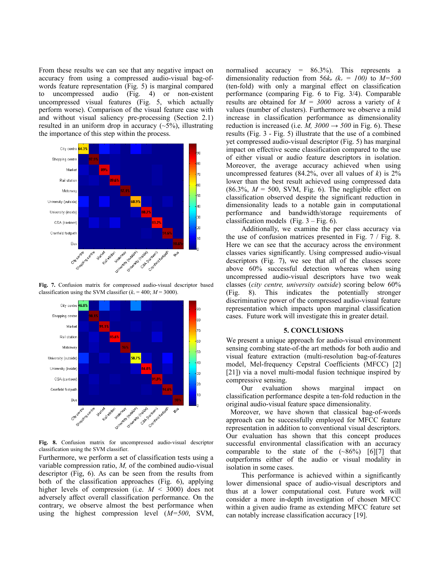From these results we can see that any negative impact on accuracy from using a compressed audio-visual bag-ofwords feature representation (Fig. 5) is marginal compared to uncompressed audio (Fig. 4) or non-existent uncompressed visual features (Fig. 5, which actually perform worse). Comparison of the visual feature case with and without visual saliency pre-processing (Section 2.1) resulted in an uniform drop in accuracy  $(\sim 5\%)$ , illustrating the importance of this step within the process.



**Fig. 7.** Confusion matrix for compressed audio-visual descriptor based classification using the SVM classifier  $(k_v = 400; M = 3000)$ .



**Fig. 8.** Confusion matrix for uncompressed audio-visual descriptor classification using the SVM classifier.

Furthermore, we perform a set of classification tests using a variable compression ratio, *M,* of the combined audio-visual descriptor (Fig, 6). As can be seen from the results from both of the classification approaches (Fig. 6), applying higher levels of compression (i.e.  $M \leq 3000$ ) does not adversely affect overall classification performance. On the contrary, we observe almost the best performance when using the highest compression level (*M=500*, SVM, normalised accuracy = 86.3%). This represents a dimensionality reduction from  $56k_v$  ( $k_v = 100$ ) to  $M=500$ (ten-fold) with only a marginal effect on classification performance (comparing Fig. 6 to Fig. 3/4). Comparable results are obtained for *M = 3000* across a variety of *k* values (number of clusters). Furthermore we observe a mild increase in classification performance as dimensionality reduction is increased (i.e.  $M$ ,  $3000 \rightarrow 500$  in Fig. 6). These results (Fig. 3 - Fig. 5) illustrate that the use of a combined yet compressed audio-visual descriptor (Fig. 5) has marginal impact on effective scene classification compared to the use of either visual or audio feature descriptors in isolation. Moreover, the average accuracy achieved when using uncompressed features (84.2%, over all values of  $k$ ) is  $2\%$ lower than the best result achieved using compressed data  $(86.3\%, M = 500, \text{ SVM}, \text{Fig. 6})$ . The negligible effect on classification observed despite the significant reduction in dimensionality leads to a notable gain in computational performance and bandwidth/storage requirements of classification models (Fig.  $3 - Fig. 6$ ).

Additionally, we examine the per class accuracy via the use of confusion matrices presented in Fig. 7 / Fig. 8. Here we can see that the accuracy across the environment classes varies significantly. Using compressed audio-visual descriptors (Fig. 7), we see that all of the classes score above 60% successful detection whereas when using uncompressed audio-visual descriptors have two weak classes (*city centre, university outside*) scoring below 60% (Fig. 8). This indicates the potentially stronger discriminative power of the compressed audio-visual feature representation which impacts upon marginal classification cases. Future work will investigate this in greater detail.

### **5. CONCLUSIONS**

We present a unique approach for audio-visual environment sensing combing state-of-the art methods for both audio and visual feature extraction (multi-resolution bag-of-features model, Mel-frequency Cepstral Coefficients (MFCC) [2] [21]) via a novel multi-modal fusion technique inspired by compressive sensing.

Our evaluation shows marginal impact on classification performance despite a ten-fold reduction in the original audio-visual feature space dimensionality.

 Moreover, we have shown that classical bag-of-words approach can be successfully employed for MFCC feature representation in addition to conventional visual descriptors. Our evaluation has shown that this concept produces successful environmental classification with an accuracy comparable to the state of the  $(\sim86\%)$  [6][7] that outperforms either of the audio or visual modality in isolation in some cases.

This performance is achieved within a significantly lower dimensional space of audio-visual descriptors and thus at a lower computational cost. Future work will consider a more in-depth investigation of chosen MFCC within a given audio frame as extending MFCC feature set can notably increase classification accuracy [19].